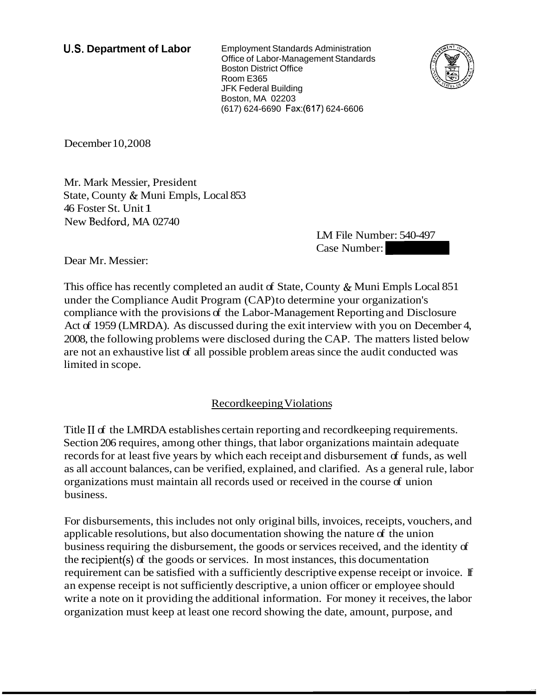**U.S. Department of Labor** Employment Standards Administration Office of Labor-Management Standards Boston District Office Room E365 JFK Federal Building Boston, MA 02203 (61 7) 624-6690 Fax:(617) 624-6606



December 10,2008

Mr. Mark Messier, President State, County & Muni Empls, Local 853 46 Foster St. Unit 1 New Bedford, MA 02740

LM File Number: 540-497  $(25)$  624-6606<br>
Case Number: 540-497<br>
Case Number:  $\frac{25}{2}$ <br>
Dunty & Muni Empls Local 851

Dear Mr. Messier:

This office has recently completed an audit of State, County & Muni Empls Local 851 under the Compliance Audit Program (CAP) to determine your organization's compliance with the provisions of the Labor-Management Reporting and Disclosure Act of 1959 (LMRDA). As discussed during the exit interview with you on December 4, 2008, the following problems were disclosed during the CAP. The matters listed below are not an exhaustive list of all possible problem areas since the audit conducted was limited in scope.

## Recordkeeping Violations

Title II of the LMRDA establishes certain reporting and record keeping requirements. Section 206 requires, among other things, that labor organizations maintain adequate records for at least five years by which each receipt and disbursement of funds, as well as all account balances, can be verified, explained, and clarified. As a general rule, labor organizations must maintain all records used or received in the course of union business.

For disbursements, this includes not only original bills, invoices, receipts, vouchers, and applicable resolutions, but also documentation showing the nature of the union business requiring the disbursement, the goods or services received, and the identity of the recipient(s) of the goods or services. In most instances, this documentation requirement can be satisfied with a sufficiently descriptive expense receipt or invoice. If an expense receipt is not sufficiently descriptive, a union officer or employee should write a note on it providing the additional information. For money it receives, the labor organization must keep at least one record showing the date, amount, purpose, and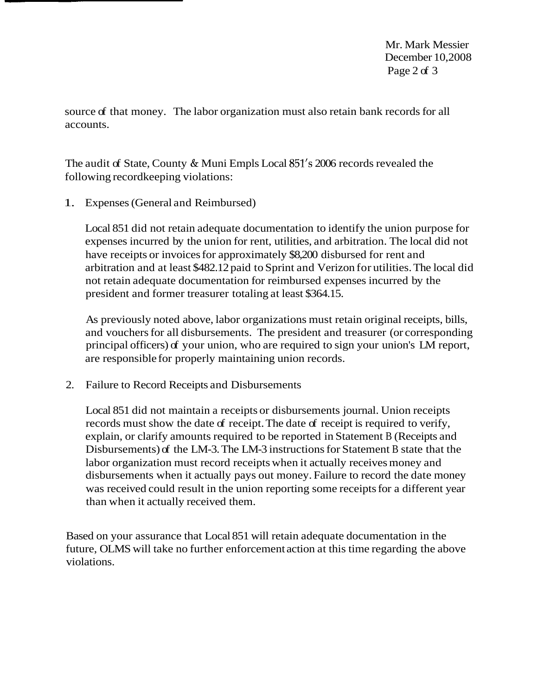Mr. Mark Messier December 10,2008 Page 2 of 3

source of that money. The labor organization must also retain bank records for all accounts.

The audit of State, County & Muni Empls Local 851's 2006 records revealed the following recordkeeping violations:

1. Expenses (General and Reimbursed)

Local 851 did not retain adequate documentation to identify the union purpose for expenses incurred by the union for rent, utilities, and arbitration. The local did not have receipts or invoices for approximately \$8,200 disbursed for rent and arbitration and at least \$482.12 paid to Sprint and Verizon for utilities. The local did not retain adequate documentation for reimbursed expenses incurred by the president and former treasurer totaling at least \$364.15.

As previously noted above, labor organizations must retain original receipts, bills, and vouchers for all disbursements. The president and treasurer (or corresponding principal officers) of your union, who are required to sign your union's LM report, are responsible for properly maintaining union records.

2. Failure to Record Receipts and Disbursements

Local 851 did not maintain a receipts or disbursements journal. Union receipts records must show the date of receipt. The date of receipt is required to verify, explain, or clarify amounts required to be reported in Statement B (Receipts and Disbursements) of the LM-3. The LM-3 instructions for Statement B state that the labor organization must record receipts when it actually receives money and disbursements when it actually pays out money. Failure to record the date money was received could result in the union reporting some receipts for a different year than when it actually received them.

Based on your assurance that Local 851 will retain adequate documentation in the future, OLMS will take no further enforcement action at this time regarding the above violations.